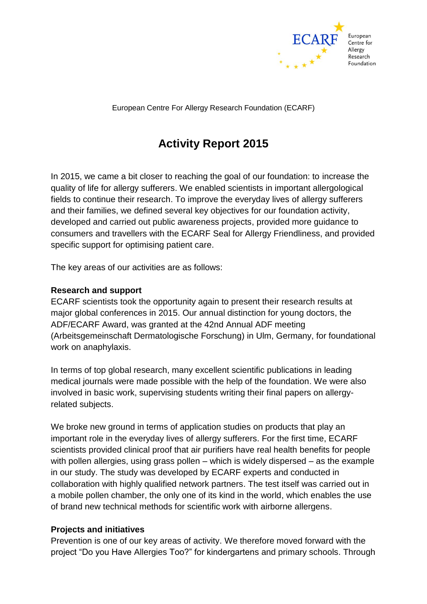

European Centre For Allergy Research Foundation (ECARF)

# **Activity Report 2015**

In 2015, we came a bit closer to reaching the goal of our foundation: to increase the quality of life for allergy sufferers. We enabled scientists in important allergological fields to continue their research. To improve the everyday lives of allergy sufferers and their families, we defined several key objectives for our foundation activity, developed and carried out public awareness projects, provided more guidance to consumers and travellers with the ECARF Seal for Allergy Friendliness, and provided specific support for optimising patient care.

The key areas of our activities are as follows:

#### **Research and support**

ECARF scientists took the opportunity again to present their research results at major global conferences in 2015. Our annual distinction for young doctors, the ADF/ECARF Award, was granted at the 42nd Annual ADF meeting (Arbeitsgemeinschaft Dermatologische Forschung) in Ulm, Germany, for foundational work on anaphylaxis.

In terms of top global research, many excellent scientific publications in leading medical journals were made possible with the help of the foundation. We were also involved in basic work, supervising students writing their final papers on allergyrelated subjects.

We broke new ground in terms of application studies on products that play an important role in the everyday lives of allergy sufferers. For the first time, ECARF scientists provided clinical proof that air purifiers have real health benefits for people with pollen allergies, using grass pollen – which is widely dispersed – as the example in our study. The study was developed by ECARF experts and conducted in collaboration with highly qualified network partners. The test itself was carried out in a mobile pollen chamber, the only one of its kind in the world, which enables the use of brand new technical methods for scientific work with airborne allergens.

## **Projects and initiatives**

Prevention is one of our key areas of activity. We therefore moved forward with the project "Do you Have Allergies Too?" for kindergartens and primary schools. Through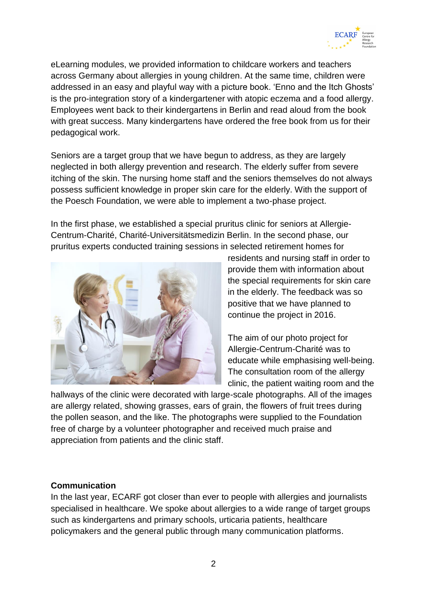

eLearning modules, we provided information to childcare workers and teachers across Germany about allergies in young children. At the same time, children were addressed in an easy and playful way with a picture book. 'Enno and the Itch Ghosts' is the pro-integration story of a kindergartener with atopic eczema and a food allergy. Employees went back to their kindergartens in Berlin and read aloud from the book with great success. Many kindergartens have ordered the free book from us for their pedagogical work.

Seniors are a target group that we have begun to address, as they are largely neglected in both allergy prevention and research. The elderly suffer from severe itching of the skin. The nursing home staff and the seniors themselves do not always possess sufficient knowledge in proper skin care for the elderly. With the support of the Poesch Foundation, we were able to implement a two-phase project.

In the first phase, we established a special pruritus clinic for seniors at Allergie-Centrum-Charité, Charité-Universitätsmedizin Berlin. In the second phase, our pruritus experts conducted training sessions in selected retirement homes for



residents and nursing staff in order to provide them with information about the special requirements for skin care in the elderly. The feedback was so positive that we have planned to continue the project in 2016.

The aim of our photo project for Allergie-Centrum-Charité was to educate while emphasising well-being. The consultation room of the allergy clinic, the patient waiting room and the

hallways of the clinic were decorated with large-scale photographs. All of the images are allergy related, showing grasses, ears of grain, the flowers of fruit trees during the pollen season, and the like. The photographs were supplied to the Foundation free of charge by a volunteer photographer and received much praise and appreciation from patients and the clinic staff.

#### **Communication**

In the last year, ECARF got closer than ever to people with allergies and journalists specialised in healthcare. We spoke about allergies to a wide range of target groups such as kindergartens and primary schools, urticaria patients, healthcare policymakers and the general public through many communication platforms.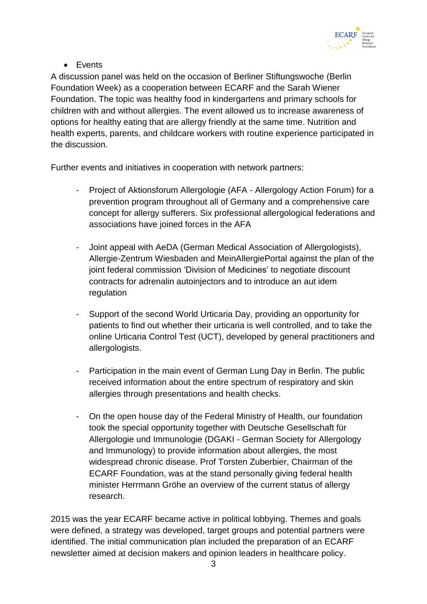

Events

A discussion panel was held on the occasion of Berliner Stiftungswoche (Berlin Foundation Week) as a cooperation between ECARF and the Sarah Wiener Foundation. The topic was healthy food in kindergartens and primary schools for children with and without allergies. The event allowed us to increase awareness of options for healthy eating that are allergy friendly at the same time. Nutrition and health experts, parents, and childcare workers with routine experience participated in the discussion.

Further events and initiatives in cooperation with network partners:

- Project of Aktionsforum Allergologie (AFA Allergology Action Forum) for a prevention program throughout all of Germany and a comprehensive care concept for allergy sufferers. Six professional allergological federations and associations have joined forces in the AFA
- Joint appeal with AeDA (German Medical Association of Allergologists), Allergie-Zentrum Wiesbaden and MeinAllergiePortal against the plan of the joint federal commission 'Division of Medicines' to negotiate discount contracts for adrenalin autoinjectors and to introduce an aut idem regulation
- Support of the second World Urticaria Day, providing an opportunity for patients to find out whether their urticaria is well controlled, and to take the online Urticaria Control Test (UCT), developed by general practitioners and allergologists.
- Participation in the main event of German Lung Day in Berlin. The public received information about the entire spectrum of respiratory and skin allergies through presentations and health checks.
- On the open house day of the Federal Ministry of Health, our foundation took the special opportunity together with Deutsche Gesellschaft für Allergologie und Immunologie (DGAKI - German Society for Allergology and Immunology) to provide information about allergies, the most widespread chronic disease. Prof Torsten Zuberbier, Chairman of the ECARF Foundation, was at the stand personally giving federal health minister Herrmann Gröhe an overview of the current status of allergy research.

2015 was the year ECARF became active in political lobbying. Themes and goals were defined, a strategy was developed, target groups and potential partners were identified. The initial communication plan included the preparation of an ECARF newsletter aimed at decision makers and opinion leaders in healthcare policy.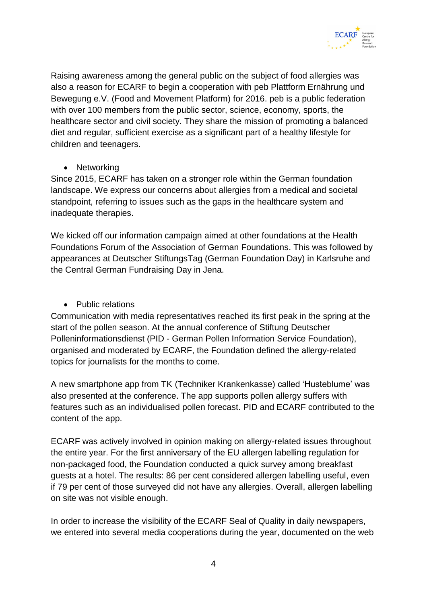

Raising awareness among the general public on the subject of food allergies was also a reason for ECARF to begin a cooperation with peb Plattform Ernährung und Bewegung e.V. (Food and Movement Platform) for 2016. peb is a public federation with over 100 members from the public sector, science, economy, sports, the healthcare sector and civil society. They share the mission of promoting a balanced diet and regular, sufficient exercise as a significant part of a healthy lifestyle for children and teenagers.

• Networking

Since 2015, ECARF has taken on a stronger role within the German foundation landscape. We express our concerns about allergies from a medical and societal standpoint, referring to issues such as the gaps in the healthcare system and inadequate therapies.

We kicked off our information campaign aimed at other foundations at the Health Foundations Forum of the Association of German Foundations. This was followed by appearances at Deutscher StiftungsTag (German Foundation Day) in Karlsruhe and the Central German Fundraising Day in Jena.

• Public relations

Communication with media representatives reached its first peak in the spring at the start of the pollen season. At the annual conference of Stiftung Deutscher Polleninformationsdienst (PID - German Pollen Information Service Foundation), organised and moderated by ECARF, the Foundation defined the allergy-related topics for journalists for the months to come.

A new smartphone app from TK (Techniker Krankenkasse) called 'Husteblume' was also presented at the conference. The app supports pollen allergy suffers with features such as an individualised pollen forecast. PID and ECARF contributed to the content of the app.

ECARF was actively involved in opinion making on allergy-related issues throughout the entire year. For the first anniversary of the EU allergen labelling regulation for non-packaged food, the Foundation conducted a quick survey among breakfast guests at a hotel. The results: 86 per cent considered allergen labelling useful, even if 79 per cent of those surveyed did not have any allergies. Overall, allergen labelling on site was not visible enough.

In order to increase the visibility of the ECARF Seal of Quality in daily newspapers, we entered into several media cooperations during the year, documented on the web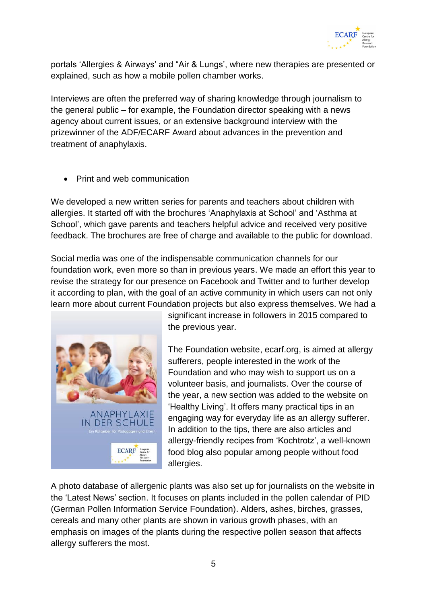

portals 'Allergies & Airways' and "Air & Lungs', where new therapies are presented or explained, such as how a mobile pollen chamber works.

Interviews are often the preferred way of sharing knowledge through journalism to the general public – for example, the Foundation director speaking with a news agency about current issues, or an extensive background interview with the prizewinner of the ADF/ECARF Award about advances in the prevention and treatment of anaphylaxis.

Print and web communication

We developed a new written series for parents and teachers about children with allergies. It started off with the brochures 'Anaphylaxis at School' and 'Asthma at School', which gave parents and teachers helpful advice and received very positive feedback. The brochures are free of charge and available to the public for download.

Social media was one of the indispensable communication channels for our foundation work, even more so than in previous years. We made an effort this year to revise the strategy for our presence on Facebook and Twitter and to further develop it according to plan, with the goal of an active community in which users can not only learn more about current Foundation projects but also express themselves. We had a



significant increase in followers in 2015 compared to the previous year.

The Foundation website, ecarf.org, is aimed at allergy sufferers, people interested in the work of the Foundation and who may wish to support us on a volunteer basis, and journalists. Over the course of the year, a new section was added to the website on 'Healthy Living'. It offers many practical tips in an engaging way for everyday life as an allergy sufferer. In addition to the tips, there are also articles and allergy-friendly recipes from 'Kochtrotz', a well-known food blog also popular among people without food allergies.

A photo database of allergenic plants was also set up for journalists on the website in the 'Latest News' section. It focuses on plants included in the pollen calendar of PID (German Pollen Information Service Foundation). Alders, ashes, birches, grasses, cereals and many other plants are shown in various growth phases, with an emphasis on images of the plants during the respective pollen season that affects allergy sufferers the most.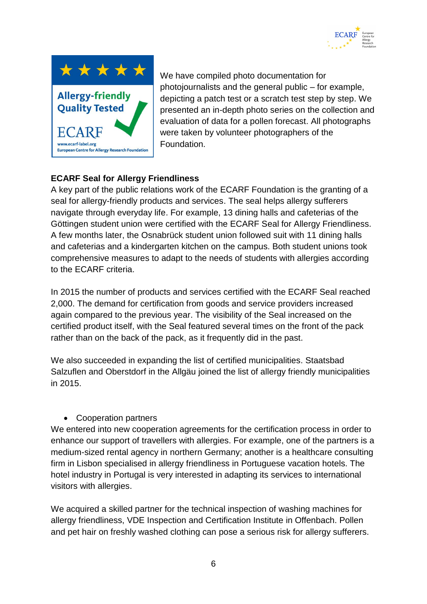



We have compiled photo documentation for photojournalists and the general public – for example, depicting a patch test or a scratch test step by step. We presented an in-depth photo series on the collection and evaluation of data for a pollen forecast. All photographs were taken by volunteer photographers of the Foundation.

# **ECARF Seal for Allergy Friendliness**

A key part of the public relations work of the ECARF Foundation is the granting of a seal for allergy-friendly products and services. The seal helps allergy sufferers navigate through everyday life. For example, 13 dining halls and cafeterias of the Göttingen student union were certified with the ECARF Seal for Allergy Friendliness. A few months later, the Osnabrück student union followed suit with 11 dining halls and cafeterias and a kindergarten kitchen on the campus. Both student unions took comprehensive measures to adapt to the needs of students with allergies according to the ECARF criteria.

In 2015 the number of products and services certified with the ECARF Seal reached 2,000. The demand for certification from goods and service providers increased again compared to the previous year. The visibility of the Seal increased on the certified product itself, with the Seal featured several times on the front of the pack rather than on the back of the pack, as it frequently did in the past.

We also succeeded in expanding the list of certified municipalities. Staatsbad Salzuflen and Oberstdorf in the Allgäu joined the list of allergy friendly municipalities in 2015.

## Cooperation partners

We entered into new cooperation agreements for the certification process in order to enhance our support of travellers with allergies. For example, one of the partners is a medium-sized rental agency in northern Germany; another is a healthcare consulting firm in Lisbon specialised in allergy friendliness in Portuguese vacation hotels. The hotel industry in Portugal is very interested in adapting its services to international visitors with allergies.

We acquired a skilled partner for the technical inspection of washing machines for allergy friendliness, VDE Inspection and Certification Institute in Offenbach. Pollen and pet hair on freshly washed clothing can pose a serious risk for allergy sufferers.